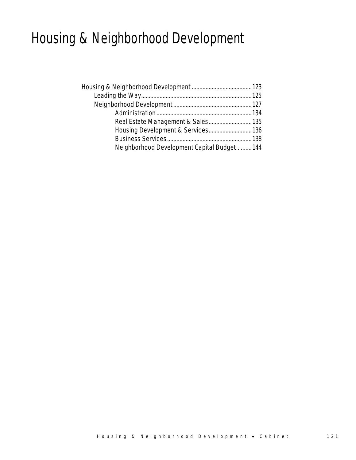# Housing & Neighborhood Development

| Housing Development & Services 136         |  |
|--------------------------------------------|--|
|                                            |  |
| Neighborhood Development Capital Budget144 |  |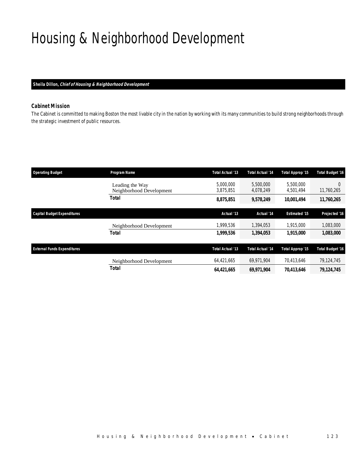# Housing & Neighborhood Development

### *Sheila Dillon, Chief of Housing & Neighborhood Development*

# *Cabinet Mission*

The Cabinet is committed to making Boston the most livable city in the nation by working with its many communities to build strong neighborhoods through the strategic investment of public resources.

| <b>Operating Budget</b>            | Program Name                                | Total Actual '13       | <b>Total Actual '14</b> | Total Approp '15       | <b>Total Budget '16</b> |
|------------------------------------|---------------------------------------------|------------------------|-------------------------|------------------------|-------------------------|
|                                    | Leading the Way<br>Neighborhood Development | 5.000.000<br>3,875,851 | 5,500,000<br>4.078.249  | 5,500,000<br>4,501,494 | 0<br>11,760,265         |
|                                    | <b>Total</b>                                | 8,875,851              | 9,578,249               | 10,001,494             | 11,760,265              |
| <b>Capital Budget Expenditures</b> |                                             | Actual '13             | Actual '14              | <b>Estimated '15</b>   | Projected '16           |
|                                    | Neighborhood Development                    | .999.536               | 1.394.053               | 1.915.000              | 1,083,000               |
|                                    | Total                                       | 1,999,536              | 1,394,053               | 1.915.000              | 1,083,000               |
| <b>External Funds Expenditures</b> |                                             | Total Actual '13       | <b>Total Actual '14</b> | Total Approp '15       | <b>Total Budget '16</b> |
|                                    | Neighborhood Development                    | 64.421.665             | 69.971.904              | 70.413.646             | 79.124.745              |
|                                    | <b>Total</b>                                | 64,421,665             | 69,971,904              | 70,413,646             | 79,124,745              |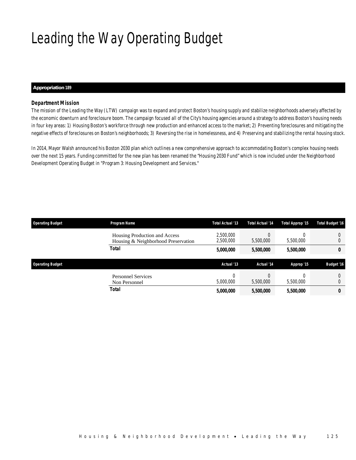# Leading the Way Operating Budget

# *Appropriation 189*

## *Department Mission*

The mission of the Leading the Way (LTW) campaign was to expand and protect Boston's housing supply and stabilize neighborhoods adversely affected by the economic downturn and foreclosure boom. The campaign focused all of the City's housing agencies around a strategy to address Boston's housing needs in four key areas: 1) Housing Boston's workforce through new production and enhanced access to the market; 2) Preventing foreclosures and mitigating the negative effects of foreclosures on Boston's neighborhoods; 3) Reversing the rise in homelessness, and 4) Preserving and stabilizing the rental housing stock.

In 2014, Mayor Walsh announced his Boston 2030 plan which outlines a new comprehensive approach to accommodating Boston's complex housing needs over the next 15 years. Funding committed for the new plan has been renamed the "Housing 2030 Fund" which is now included under the Neighborhood Development Operating Budget in "Program 3: Housing Development and Services."

| <b>Operating Budget</b> | Program Name                                                         | Total Actual '13       | <b>Total Actual '14</b> | Total Approp '15 | <b>Total Budget '16</b> |
|-------------------------|----------------------------------------------------------------------|------------------------|-------------------------|------------------|-------------------------|
|                         | Housing Production and Access<br>Housing & Neighborhood Preservation | 2,500,000<br>2,500,000 | 5,500,000               | 5,500,000        |                         |
|                         | Total                                                                | 5,000,000              | 5,500,000               | <i>5,500,000</i> | 0                       |
|                         |                                                                      |                        |                         |                  |                         |
|                         |                                                                      |                        |                         |                  |                         |
| <b>Operating Budget</b> |                                                                      | Actual '13             | Actual '14              | Approp '15       | <b>Budget '16</b>       |
|                         | <b>Personnel Services</b><br>Non Personnel                           | $\Omega$<br>5,000,000  | 5,500,000               | 5,500,000        |                         |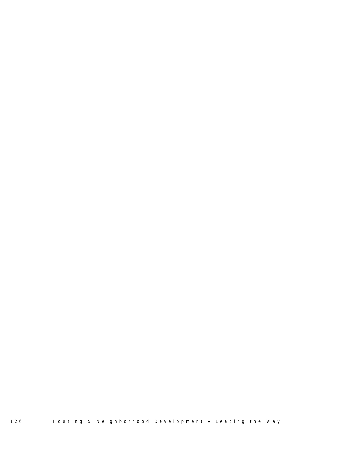126 Housing & Neighborhood Development • Leading the Way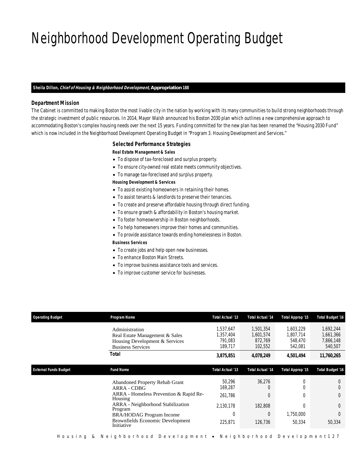# Neighborhood Development Operating Budget

### *Sheila Dillon, Chief of Housing & Neighborhood Development, Appropriation 188*

# *Department Mission*

The Cabinet is committed to making Boston the most livable city in the nation by working with its many communities to build strong neighborhoods through the strategic investment of public resources. In 2014, Mayor Walsh announced his Boston 2030 plan which outlines a new comprehensive approach to accommodating Boston's complex housing needs over the next 15 years. Funding committed for the new plan has been renamed the "Housing 2030 Fund" which is now included in the Neighborhood Development Operating Budget in "Program 3. Housing Development and Services."

### *Selected Performance Strategies*

*Real Estate Management & Sales* 

- To dispose of tax-foreclosed and surplus property.
- To ensure city-owned real estate meets community objectives.
- To manage tax-foreclosed and surplus property.

### *Housing Development & Services*

- To assist existing homeowners in retaining their homes.
- To assist tenants & landlords to preserve their tenancies.
- To create and preserve affordable housing through direct funding.
- To ensure growth & affordability in Boston's housing market.
- To foster homeownership in Boston neighborhoods.
- To help homeowners improve their homes and communities.
- To provide assistance towards ending homelessness in Boston.

### *Business Services*

- To create jobs and help open new businesses.
- To enhance Boston Main Streets.
- To improve business assistance tools and services.
- To improve customer service for businesses.

| <b>Operating Budget</b>      | Program Name                                                                                                            | Total Actual '13                                          | <b>Total Actual '14</b>                                   | Total Approp '15                                          | <b>Total Budget '16</b>                                      |
|------------------------------|-------------------------------------------------------------------------------------------------------------------------|-----------------------------------------------------------|-----------------------------------------------------------|-----------------------------------------------------------|--------------------------------------------------------------|
|                              | Administration<br>Real Estate Management & Sales<br>Housing Development & Services<br><b>Business Services</b><br>Total | 1.537.647<br>1,357,404<br>791,083<br>189,717<br>3,875,851 | 1.501.354<br>1,601,574<br>872.769<br>102,552<br>4,078,249 | 1.603.229<br>1,807,714<br>548,470<br>542,081<br>4,501,494 | 1,692,244<br>1,661,366<br>7,866,148<br>540,507<br>11,760,265 |
| <b>External Funds Budget</b> | <b>Fund Name</b>                                                                                                        | Total Actual '13                                          | Total Actual '14                                          | Total Approp '15                                          | <b>Total Budget '16</b>                                      |
|                              |                                                                                                                         |                                                           |                                                           |                                                           |                                                              |
|                              | Abandoned Property Rehab Grant<br>ARRA - CDBG                                                                           | 50.296<br>169.287                                         | 36,276                                                    |                                                           | $\left($                                                     |
|                              | ARRA - Homeless Prevention & Rapid Re-<br>Housing                                                                       | 261.786                                                   | $\Omega$                                                  | 0                                                         | $\theta$                                                     |
|                              | ARRA - Neighborhood Stabilization<br>Program                                                                            | 2.130.178                                                 | 182,808                                                   | 0                                                         | $\theta$                                                     |
|                              | <b>BRA/HODAG Program Income</b>                                                                                         | 0                                                         | $\Omega$                                                  | 1.750.000                                                 | $\Omega$                                                     |
|                              | <b>Brownfields Economic Development</b><br>Initiative                                                                   | 225,871                                                   | 126,736                                                   | 50,334                                                    | 50,334                                                       |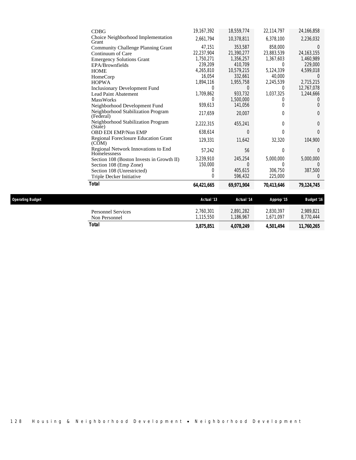|                                                           | Actual '13              | Actual '14            | Approp '15            | <b>Budget '16</b>         |
|-----------------------------------------------------------|-------------------------|-----------------------|-----------------------|---------------------------|
| Total                                                     | 64,421,665              | 69,971,904            | 70,413,646            | 79,124,745                |
| Triple Decker Initiative                                  | 0                       | 596,432               | 225,000               | 0                         |
| Section 108 (Unrestricted)                                | 0                       | 405.615               | 306.750               | 387,500                   |
| Section 108 (Emp Zone)                                    | 150,000                 | 0                     | $\Omega$              | $\left( \right)$          |
| Homelessness<br>Section 108 (Boston Invests in Growth II) | 3.239.910               | 245,254               | 5,000,000             | 5,000,000                 |
| Regional Network Innovations to End                       | 57.242                  | 56                    | $\Omega$              | $\Omega$                  |
| <b>Regional Foreclosure Education Grant</b><br>(COM)      | 129,331                 | 11,642                | 32,320                | 104,900                   |
| <b>OBD EDI EMP/Non EMP</b>                                | 638,614                 | 0                     | 0                     | $\Omega$                  |
| Neighborhood Stabilization Program<br>(State)             | 2,222,315               | 455,241               | 0                     | $\Omega$                  |
| Neighborhood Stabilization Program<br>(Federal)           | 217.659                 | 20,007                | 0                     | $\theta$                  |
| Neighborhood Development Fund                             | 939.613                 | 141.056               | 0                     | $\Omega$                  |
| <b>MassWorks</b>                                          | 0                       | 1,500,000             | 0                     | $\left( \right)$          |
| <b>Lead Paint Abatement</b>                               | 1,709,862               | 933,732               | 1,037,325             | 1,244,666                 |
| <b>Inclusionary Development Fund</b>                      | <sup>n</sup>            |                       | 0                     | 12,767,078                |
| <b>HOPWA</b>                                              | 1,894,116               | 1.955.758             | 2,245,539             | 2,715,215                 |
| HomeCorp                                                  | 16.054                  | 332.661               | 40.000                | $\left( \right)$          |
| <b>HOME</b>                                               | 4,265,810               | 10,579,215            | 5,124,339             | 4,599,018                 |
| <b>Emergency Solutions Grant</b><br>EPA/Brownfields       | 239,209                 | 410,709               | 0                     | 229,000                   |
| Continuum of Care                                         | 22,237,904<br>1,750,271 | 1,356,257             | 1,367,603             | 24, 163, 155<br>1,460,989 |
| <b>Community Challenge Planning Grant</b>                 | 47.151                  | 353,587<br>21.390.277 | 858,000<br>23.883.539 | $\Omega$                  |
| Grant                                                     | 2,661,794               | 10,378,811            | 6,378,100             | 2,236,032                 |
| Choice Neighborhood Implementation                        |                         |                       |                       |                           |
| <b>CDBG</b>                                               | 19,167,392              | 18,559,774            | 22,114,797            | 24,166,858                |

| <b>Operating Budget</b>                    | Actual '13            | Actual '14            | Approp '15            | <b>Budget '16</b>      |
|--------------------------------------------|-----------------------|-----------------------|-----------------------|------------------------|
| <b>Personnel Services</b><br>Non Personnel | 2,760,301<br>.115.550 | 2,891,282<br>.186.967 | 2,830,397<br>.671.097 | 2,989,821<br>8,770,444 |
| Total                                      | 3,875,851             | 4,078,249             | 4,501,494             | 11,760,265             |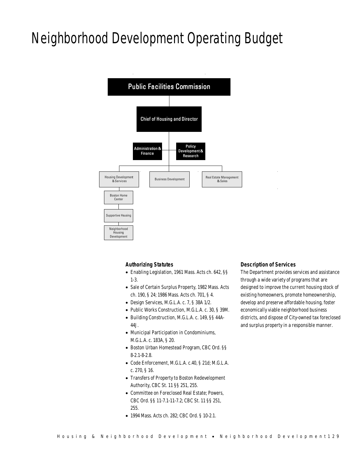# Neighborhood Development Operating Budget



# *Authorizing Statutes*

- Enabling Legislation, 1961 Mass. Acts ch. 642, §§ 1-3.
- Sale of Certain Surplus Property, 1982 Mass. Acts ch. 190, § 24; 1986 Mass. Acts ch. 701, § 4.
- Design Services, M.G.L.A. c. 7, § 38A 1/2.
- Public Works Construction, M.G.L.A. c. 30, § 39M.
- Building Construction, M.G.L.A. c. 149, §§ 44A-44J.
- Municipal Participation in Condominiums, M.G.L.A. c. 183A, § 20.
- Boston Urban Homestead Program, CBC Ord. §§ 8-2.1-8-2.8.
- Code Enforcement, M.G.L.A. c.40, § 21d; M.G.L.A. c. 270, § 16.
- Transfers of Property to Boston Redevelopment Authority, CBC St. 11 §§ 251, 255.
- Committee on Foreclosed Real Estate; Powers, CBC Ord. §§ 11-7.1-11-7.2; CBC St. 11 §§ 251, 255.
- 1994 Mass. Acts ch. 282; CBC Ord. § 10-2.1.

# *Description of Services*

The Department provides services and assistance through a wide variety of programs that are designed to improve the current housing stock of existing homeowners, promote homeownership, develop and preserve affordable housing, foster economically viable neighborhood business districts, and dispose of City-owned tax foreclosed and surplus property in a responsible manner.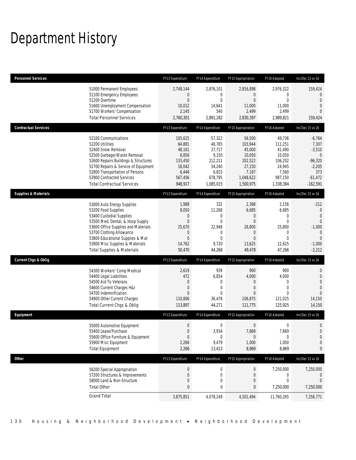# Department History

| <b>Personnel Services</b>       |                                                                                                                                                                                                                                                                                                      | FY13 Expenditure                                                                         | FY14 Expenditure                                                                          | FY15 Appropriation                                                                            | FY16 Adopted                                                                                | Inc/Dec 15 vs 16                                                                                                       |
|---------------------------------|------------------------------------------------------------------------------------------------------------------------------------------------------------------------------------------------------------------------------------------------------------------------------------------------------|------------------------------------------------------------------------------------------|-------------------------------------------------------------------------------------------|-----------------------------------------------------------------------------------------------|---------------------------------------------------------------------------------------------|------------------------------------------------------------------------------------------------------------------------|
|                                 | 51000 Permanent Employees<br>51100 Emergency Employees<br>51200 Overtime<br>51600 Unemployment Compensation<br>51700 Workers' Compensation<br><b>Total Personnel Services</b>                                                                                                                        | 2,748,144<br>0<br>$\overline{0}$<br>10,012<br>2,145<br>2,760,301                         | 2,876,101<br>$\mathbf 0$<br>$\mathbf 0$<br>14,641<br>540<br>2,891,282                     | 2,816,898<br>0<br>$\overline{0}$<br>11,000<br>2,499<br>2,830,397                              | 2,976,322<br>0<br>0<br>11,000<br>2,499<br>2,989,821                                         | 159,424<br>$\Omega$<br>$\overline{0}$<br>$\theta$<br>$\Omega$<br>159,424                                               |
| <b>Contractual Services</b>     |                                                                                                                                                                                                                                                                                                      | FY13 Expenditure                                                                         | FY14 Expenditure                                                                          | FY15 Appropriation                                                                            | FY16 Adopted                                                                                | Inc/Dec 15 vs 16                                                                                                       |
|                                 | 52100 Communications<br>52200 Utilities<br>52400 Snow Removal<br>52500 Garbage/Waste Removal<br>52600 Repairs Buildings & Structures<br>52700 Repairs & Service of Equipment<br>52800 Transportation of Persons<br>52900 Contracted Services<br><b>Total Contractual Services</b>                    | 105,625<br>64,881<br>48,161<br>6,856<br>133,450<br>16,042<br>6,446<br>567,456<br>948,917 | 57,322<br>48,765<br>37,717<br>9,150<br>212,211<br>34,240<br>6,815<br>678,795<br>1,085,015 | 56,500<br>103,944<br>45,000<br>10,050<br>202,522<br>27,150<br>7,187<br>1,048,622<br>1,500,975 | 49,736<br>111,251<br>41,490<br>10,050<br>106,202<br>24,945<br>7,560<br>987,150<br>1,338,384 | $-6,764$<br>7,307<br>$-3,510$<br>$\mathbf 0$<br>$-96,320$<br>$-2,205$<br>373<br>$-61,472$<br>$-162,591$                |
| <b>Supplies &amp; Materials</b> |                                                                                                                                                                                                                                                                                                      | FY13 Expenditure                                                                         | FY14 Expenditure                                                                          | FY15 Appropriation                                                                            | FY16 Adopted                                                                                | Inc/Dec 15 vs 16                                                                                                       |
|                                 | 53000 Auto Energy Supplies<br>53200 Food Supplies<br>53400 Custodial Supplies<br>53500 Med, Dental, & Hosp Supply<br>53600 Office Supplies and Materials<br>53700 Clothing Allowance<br>53800 Educational Supplies & Mat<br>53900 Misc Supplies & Materials<br><b>Total Supplies &amp; Materials</b> | 1,988<br>8,050<br>0<br>$\mathbf 0$<br>25,670<br>0<br>$\overline{0}$<br>14,762<br>50,470  | 332<br>11,268<br>0<br>$\mathbf 0$<br>22,948<br>0<br>$\mathbf 0$<br>9,720<br>44,268        | 2,368<br>6,685<br>0<br>$\mathbf 0$<br>26,800<br>0<br>$\overline{0}$<br>13,625<br>49,478       | 2,156<br>6,685<br>0<br>0<br>25,800<br>0<br>$\Omega$<br>12,625<br>47,266                     | $-212$<br>$\mathbf 0$<br>$\overline{0}$<br>$\mathbf{0}$<br>$-1,000$<br>$\mathbf 0$<br>$\Omega$<br>$-1,000$<br>$-2,212$ |
| <b>Current Chgs &amp; Oblig</b> |                                                                                                                                                                                                                                                                                                      | FY13 Expenditure                                                                         | FY14 Expenditure                                                                          | FY15 Appropriation                                                                            | FY16 Adopted                                                                                | Inc/Dec 15 vs 16                                                                                                       |
|                                 | 54300 Workers' Comp Medical<br>54400 Legal Liabilities<br>54500 Aid To Veterans<br>54600 Current Charges H&I<br>54700 Indemnification<br>54900 Other Current Charges<br>Total Current Chgs & Oblig                                                                                                   | 2,619<br>472<br>0<br>0<br>$\Omega$<br>110,806<br>113,897                                 | 939<br>6,854<br>$\mathbf 0$<br>$\boldsymbol{0}$<br>$\Omega$<br>36,478<br>44,271           | 900<br>4,000<br>$\overline{0}$<br>0<br>$\Omega$<br>106,875<br>111,775                         | 900<br>4,000<br>$\Omega$<br>0<br>$\Omega$<br>121,025<br>125,925                             | 0<br>$\mathbf 0$<br>$\Omega$<br>$\mathbf{0}$<br>$\Omega$<br>14,150<br>14,150                                           |
| Equipment                       |                                                                                                                                                                                                                                                                                                      | FY13 Expenditure                                                                         | FY14 Expenditure                                                                          | FY15 Appropriation                                                                            | FY16 Adopted                                                                                | Inc/Dec 15 vs 16                                                                                                       |
|                                 | 55000 Automotive Equipment<br>55400 Lease/Purchase<br>55600 Office Furniture & Equipment<br>55900 Misc Equipment<br><b>Total Equipment</b>                                                                                                                                                           | $\boldsymbol{0}$<br>0<br>$\boldsymbol{0}$<br>2,266<br>2,266                              | $\boldsymbol{0}$<br>3,934<br>0<br>9,479<br>13,413                                         | $\mathbf 0$<br>7,869<br>0<br>1,000<br>8,869                                                   | $\mathbf 0$<br>7,869<br>0<br>1,000<br>8,869                                                 | $\mathbf 0$<br>$\Omega$<br>$\mathbf 0$<br>$\mathbf 0$<br>0                                                             |
| Other                           |                                                                                                                                                                                                                                                                                                      | FY13 Expenditure                                                                         | FY14 Expenditure                                                                          | FY15 Appropriation                                                                            | FY16 Adopted                                                                                | Inc/Dec 15 vs 16                                                                                                       |
|                                 | 56200 Special Appropriation<br>57200 Structures & Improvements<br>58000 Land & Non-Structure<br><b>Total Other</b>                                                                                                                                                                                   | 0<br>0<br>0<br>0                                                                         | 0<br>0<br>$\boldsymbol{0}$<br>0                                                           | 0<br>0<br>0<br>0                                                                              | 7,250,000<br>0<br>0<br>7,250,000                                                            | 7,250,000<br>$\Omega$<br>7,250,000                                                                                     |
|                                 | <b>Grand Total</b>                                                                                                                                                                                                                                                                                   | 3,875,851                                                                                | 4,078,249                                                                                 | 4,501,494                                                                                     | 11,760,265                                                                                  | 7,258,771                                                                                                              |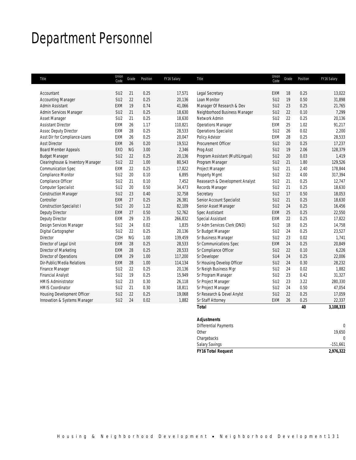# Department Personnel

| Title                             | Union<br>Code   | Grade     | Position | FY16 Salary | Title                            | Union<br>Code   | Grade | Position | FY16 Salary |
|-----------------------------------|-----------------|-----------|----------|-------------|----------------------------------|-----------------|-------|----------|-------------|
|                                   |                 |           |          |             |                                  |                 |       |          |             |
| Accountant                        | SU <sub>2</sub> | 21        | 0.25     | 17,571      | Legal Secretary                  | EXM             | 18    | 0.25     | 13,022      |
| <b>Accounting Manager</b>         | SU <sub>2</sub> | 22        | 0.25     | 20,136      | Loan Monitor                     | SU <sub>2</sub> | 19    | 0.50     | 31,898      |
| Admin Assistant                   | <b>EXM</b>      | 19        | 0.74     | 41,066      | Manager Of Research & Dev        | SU <sub>2</sub> | 23    | 0.25     | 21,765      |
| Admin Services Manager            | SU <sub>2</sub> | 21        | 0.25     | 18,630      | Neighborhood Business Manager    | SU <sub>2</sub> | 22    | 0.10     | 7,299       |
| Asset Manager                     | SU <sub>2</sub> | 21        | 0.25     | 18,630      | Network Admin                    | SU <sub>2</sub> | 22    | 0.25     | 20,136      |
| <b>Assistant Director</b>         | <b>EXM</b>      | 26        | 1.17     | 110,821     | <b>Operations Manager</b>        | EXM             | 25    | 1.02     | 91,217      |
| <b>Assoc Deputy Director</b>      | <b>EXM</b>      | 28        | 0.25     | 28,533      | <b>Operations Specialist</b>     | SU <sub>2</sub> | 26    | 0.02     | 2,200       |
| Asst Dir for Compliance-Loans     | EXM             | 26        | 0.25     | 20,047      | Policy Advisor                   | EXM             | 28    | 0.25     | 28,533      |
| <b>Asst Director</b>              | EXM             | 26        | 0.20     | 19,512      | Procurement Officer              | SU <sub>2</sub> | 20    | 0.25     | 17,237      |
| <b>Board Member Appeals</b>       | <b>EXO</b>      | <b>NG</b> | 3.00     | 2,346       | Prog Asst                        | SU <sub>2</sub> | 19    | 2.06     | 128,379     |
| <b>Budget Manager</b>             | SU <sub>2</sub> | 22        | 0.25     | 20,136      | Program Assistant (MultiLingual) | SU <sub>2</sub> | 20    | 0.03     | 1,419       |
| Clearinghouse & Inventory Manager | SU <sub>2</sub> | 22        | 1.00     | 80,543      | Program Manager                  | SU <sub>2</sub> | 21    | 1.80     | 129,526     |
| Communication Spec                | <b>EXM</b>      | 22        | 0.25     | 17,822      | Project Manager                  | SU <sub>2</sub> | 21    | 2.40     | 178,844     |
| <b>Compliance Monitor</b>         | SU <sub>2</sub> | 20        | 0.10     | 6,895       | Property Mgmt                    | SU <sub>2</sub> | 22    | 4.00     | 317,394     |
| Compliance Officer                | SU <sub>2</sub> | 21        | 0.10     | 7,452       | Reasearch & Development Analyst  | SU <sub>2</sub> | 21    | 0.25     | 12,747      |
| Computer Specialist               | SU <sub>2</sub> | 20        | 0.50     | 34,473      | Records Manager                  | SU <sub>2</sub> | 21    | 0.25     | 18,630      |
| <b>Construction Manager</b>       | SU <sub>2</sub> | 23        | 0.40     | 32,758      | Secretary                        | SU <sub>2</sub> | 17    | 0.50     | 18,053      |
| Controller                        | <b>EXM</b>      | 27        | 0.25     | 26,381      | Senior Account Specialist        | SU <sub>2</sub> | 21    | 0.25     | 18,630      |
| <b>Construction Specialist I</b>  | SU <sub>2</sub> | 20        | 1.22     | 82,109      | Senior Asset Manager             | SU <sub>2</sub> | 24    | 0.25     | 16,456      |
| Deputy Director                   | <b>EXM</b>      | 27        | 0.50     | 52,762      | Spec Asstistant                  | EXM             | 25    | 0.25     | 22,550      |
| Deputy Director                   | EXM             | 29        | 2.35     | 266,832     | Special Assistant                | EXM             | 22    | 0.25     | 17,822      |
| Design Services Manager           | SU <sub>2</sub> | 24        | 0.02     | 1,835       | Sr Adm Services Clerk (DND)      | SU <sub>2</sub> | 18    | 0.25     | 14,758      |
| Digital Cartographer              | SU <sub>2</sub> | 22        | 0.25     | 20,136      | Sr Budget Manager                | SU <sub>2</sub> | 24    | 0.25     | 23,527      |
| Director                          | CDH             | <b>NG</b> | 1.00     | 139,459     | Sr Business Manager              | SU <sub>2</sub> | 23    | 0.02     | 1,741       |
| Director of Legal Unit            | <b>EXM</b>      | 28        | 0.25     | 28,533      | Sr Communications Spec           | <b>EXM</b>      | 24    | 0.25     | 20,849      |
| Director of Marketing             | EXM             | 28        | 0.25     | 28,533      | Sr Compliance Officer            | SU <sub>2</sub> | 22    | 0.10     | 6,226       |
| Director of Operations            | <b>EXM</b>      | 29        | 1.00     | 117,200     | Sr Developer                     | SU4             | 24    | 0.25     | 22,006      |
| Dir-Public/Media Relations        | <b>EXM</b>      | 28        | 1.00     | 114,134     | Sr Housing Develop Officer       | SU <sub>2</sub> | 24    | 0.30     | 28,232      |
| Finance Manager                   | SU <sub>2</sub> | 22        | 0.25     | 20,136      | Sr Neigh Business Mgr            | SU <sub>2</sub> | 24    | 0.02     | 1,882       |
| <b>Financial Analyst</b>          | SU <sub>2</sub> | 19        | 0.25     | 15,949      | Sr Program Manager               | SU <sub>2</sub> | 23    | 0.42     | 31,327      |
| <b>HMIS Administrator</b>         | SU <sub>2</sub> | 23        | 0.30     | 26,118      | Sr Project Manager               | SU <sub>2</sub> | 23    | 3.22     | 280,330     |
| <b>HMIS Coordinator</b>           | SU <sub>2</sub> | 21        | 0.30     | 18,811      | Sr Project Manager               | SU <sub>2</sub> | 24    | 0.50     | 47,054      |
| Housing Development Officer       | SU <sub>2</sub> | 22        | 0.25     | 19,068      | Sr Research & Devel Anylst       | SU <sub>2</sub> | 22    | 0.25     | 17,059      |
| Innovation & Systems Manager      | SU <sub>2</sub> | 24        | 0.02     | 1,882       | Sr Staff Attorney                | <b>EXM</b>      | 26    | 0.25     | 22,337      |
|                                   |                 |           |          |             | <b>Total</b>                     |                 |       | 40       | 3,108,333   |

| <b>FY16 Total Request</b> | 2,976,322  |
|---------------------------|------------|
| Salary Savings            | $-151,661$ |
| Chargebacks               |            |
| Other                     | 19,650     |
| Differential Payments     | U          |
| <b>Adjustments</b>        |            |
|                           |            |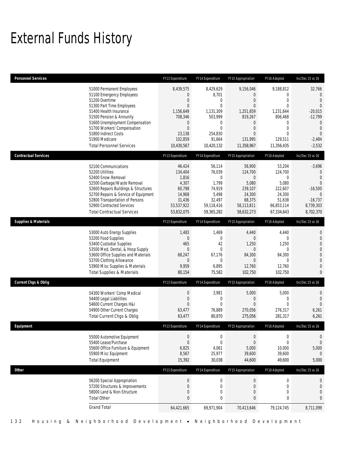# External Funds History

| <b>Personnel Services</b>       |                                                                                                                                                                                                                                                                                                            | FY13 Expenditure                                                                                                                         | FY14 Expenditure                                                                                                                          | FY15 Appropriation                                                                                                                                        | FY16 Adopted                                                                                                                                         | Inc/Dec 15 vs 16                                                                                                                                    |
|---------------------------------|------------------------------------------------------------------------------------------------------------------------------------------------------------------------------------------------------------------------------------------------------------------------------------------------------------|------------------------------------------------------------------------------------------------------------------------------------------|-------------------------------------------------------------------------------------------------------------------------------------------|-----------------------------------------------------------------------------------------------------------------------------------------------------------|------------------------------------------------------------------------------------------------------------------------------------------------------|-----------------------------------------------------------------------------------------------------------------------------------------------------|
|                                 | 51000 Permanent Employees<br>51100 Emergency Employees<br>51200 Overtime<br>51300 Part Time Employees<br>51400 Health Insurance<br>51500 Pension & Annunity<br>51600 Unemployment Compensation<br>51700 Workers' Compensation<br>51800 Indirect Costs<br>51900 Medicare<br><b>Total Personnel Services</b> | 8,439,575<br>0<br>$\overline{0}$<br>$\Omega$<br>1.156.649<br>708,346<br>$\mathbf 0$<br>$\overline{0}$<br>23,138<br>102,859<br>10,430,567 | 8,429,629<br>8,701<br>$\mathbf 0$<br>$\theta$<br>1,131,309<br>503,999<br>$\mathbf 0$<br>$\overline{0}$<br>254,830<br>91,664<br>10,420,132 | 9,156,046<br>$\theta$<br>$\boldsymbol{0}$<br>$\theta$<br>1.251.659<br>819,267<br>$\mathbf 0$<br>$\boldsymbol{0}$<br>$\mathbf{0}$<br>131,995<br>11,358,967 | 9,188,812<br>$\mathbf{0}$<br>$\mathbf{0}$<br>$\Omega$<br>1,231,644<br>806,468<br>$\mathbf{0}$<br>$\overline{0}$<br>$\Omega$<br>129,511<br>11,356,435 | 32,766<br>$\overline{0}$<br>$\overline{0}$<br>$\Omega$<br>$-20,015$<br>$-12,799$<br>$\mathbf 0$<br>$\mathbf{0}$<br>$\Omega$<br>$-2,484$<br>$-2,532$ |
| <b>Contractual Services</b>     |                                                                                                                                                                                                                                                                                                            | FY13 Expenditure                                                                                                                         | FY14 Expenditure                                                                                                                          | FY15 Appropriation                                                                                                                                        | FY16 Adopted                                                                                                                                         | Inc/Dec 15 vs 16                                                                                                                                    |
|                                 | 52100 Communications<br>52200 Utilities<br>52400 Snow Removal<br>52500 Garbage/Waste Removal<br>52600 Repairs Buildings & Structures<br>52700 Repairs & Service of Equipment<br>52800 Transportation of Persons<br>52900 Contracted Services<br><b>Total Contractual Services</b>                          | 46,424<br>134,404<br>1,816<br>4,307<br>60,798<br>14,968<br>31,436<br>53,537,922<br>53,832,075                                            | 56,114<br>76,039<br>$\mathbf{0}$<br>1,799<br>74,919<br>5,498<br>32,497<br>59,118,416<br>59,365,282                                        | 56,900<br>124,700<br>$\mathbf{0}$<br>5,080<br>239,107<br>24,300<br>68,375<br>58,113,811<br>58,632,273                                                     | 53,204<br>124,700<br>$\mathbf{0}$<br>5,080<br>222,607<br>24,300<br>51,638<br>66,853,114<br>67,334,643                                                | $-3,696$<br>$\mathbf{0}$<br>$\mathbf{0}$<br>$\Omega$<br>$-16,500$<br>$\Omega$<br>$-16,737$<br>8,739,303<br>8,702,370                                |
| <b>Supplies &amp; Materials</b> |                                                                                                                                                                                                                                                                                                            | FY13 Expenditure                                                                                                                         | FY14 Expenditure                                                                                                                          | FY15 Appropriation                                                                                                                                        | FY16 Adopted                                                                                                                                         | Inc/Dec 15 vs 16                                                                                                                                    |
|                                 | 53000 Auto Energy Supplies<br>53200 Food Supplies<br>53400 Custodial Supplies<br>53500 Med, Dental, & Hosp Supply<br>53600 Office Supplies and Materials<br>53700 Clothing Allowance<br>53900 Misc Supplies & Materials<br><b>Total Supplies &amp; Materials</b>                                           | 1,483<br>$\mathbf 0$<br>465<br>$\mathbf{0}$<br>68,247<br>$\theta$<br>9,959<br>80,154                                                     | 1,469<br>$\mathbf{0}$<br>42<br>$\mathbf{0}$<br>67,176<br>$\mathbf 0$<br>6,895<br>75,582                                                   | 4,440<br>$\overline{0}$<br>1,250<br>$\mathbf 0$<br>84,300<br>$\theta$<br>12,760<br>102,750                                                                | 4,440<br>$\mathbf{0}$<br>1,250<br>$\mathbf{0}$<br>84,300<br>$\Omega$<br>12,760<br>102,750                                                            | $\mathbf 0$<br>$\theta$<br>$\mathbf{0}$<br>$\mathbf{0}$<br>$\mathbf 0$<br>$\mathbf{0}$<br>$\theta$<br>$\mathbf{0}$                                  |
| <b>Current Chgs &amp; Oblig</b> |                                                                                                                                                                                                                                                                                                            | FY13 Expenditure                                                                                                                         | FY14 Expenditure                                                                                                                          | FY15 Appropriation                                                                                                                                        | FY16 Adopted                                                                                                                                         | Inc/Dec 15 vs 16                                                                                                                                    |
|                                 | 54300 Workers' Comp Medical<br>54400 Legal Liabilities<br>54600 Current Charges H&I<br>54900 Other Current Charges<br>Total Current Chgs & Oblig                                                                                                                                                           | $\boldsymbol{0}$<br>$\boldsymbol{0}$<br>$\overline{0}$<br>63,477<br>63,477                                                               | 3,981<br>$\mathbf 0$<br>$\overline{0}$<br>76,889<br>80,870                                                                                | 5,000<br>$\mathbf 0$<br>$\overline{0}$<br>270,056<br>275,056                                                                                              | 5,000<br>$\mathbf 0$<br>$\mathbf{0}$<br>276,317<br>281,317                                                                                           | 0<br>$\mathbf 0$<br>$\overline{0}$<br>6,261<br>6,261                                                                                                |
| Equipment                       |                                                                                                                                                                                                                                                                                                            | FY13 Expenditure                                                                                                                         | FY14 Expenditure                                                                                                                          | FY15 Appropriation                                                                                                                                        | FY16 Adopted                                                                                                                                         | Inc/Dec 15 vs 16                                                                                                                                    |
|                                 | 55000 Automotive Equipment<br>55400 Lease/Purchase<br>55600 Office Furniture & Equipment<br>55900 Misc Equipment<br><b>Total Equipment</b>                                                                                                                                                                 | $\boldsymbol{0}$<br>$\boldsymbol{0}$<br>6,825<br>8,567<br>15,392                                                                         | $\boldsymbol{0}$<br>$\overline{0}$<br>4,061<br>25,977<br>30,038                                                                           | $\boldsymbol{0}$<br>$\overline{0}$<br>5,000<br>39,600<br>44,600                                                                                           | $\mathbf 0$<br>$\overline{0}$<br>10,000<br>39,600<br>49,600                                                                                          | $\mathbf 0$<br>$\mathbf 0$<br>5,000<br>$\mathbf 0$<br>5,000                                                                                         |
| <b>Other</b>                    |                                                                                                                                                                                                                                                                                                            | FY13 Expenditure                                                                                                                         | FY14 Expenditure                                                                                                                          | FY15 Appropriation                                                                                                                                        | FY16 Adopted                                                                                                                                         | Inc/Dec 15 vs 16                                                                                                                                    |
|                                 | 56200 Special Appropriation<br>57200 Structures & Improvements<br>58000 Land & Non-Structure<br><b>Total Other</b>                                                                                                                                                                                         | $\mathbf 0$<br>$\mathbf 0$<br>$\boldsymbol{0}$<br>0                                                                                      | $\boldsymbol{0}$<br>$\boldsymbol{0}$<br>$\boldsymbol{0}$<br>$\bf{0}$                                                                      | $\boldsymbol{0}$<br>$\boldsymbol{0}$<br>$\boldsymbol{0}$<br>$\pmb{0}$                                                                                     | $\mathbf 0$<br>$\mathbf 0$<br>$\mathbf 0$<br>$\bf{0}$                                                                                                | 0<br>$\mathbf 0$<br>$\boldsymbol{0}$<br>0                                                                                                           |
|                                 | <b>Grand Total</b>                                                                                                                                                                                                                                                                                         | 64,421,665                                                                                                                               | 69,971,904                                                                                                                                | 70,413,646                                                                                                                                                | 79,124,745                                                                                                                                           | 8,711,099                                                                                                                                           |

132 Housing & Neighborhood Development • Neighborhood Development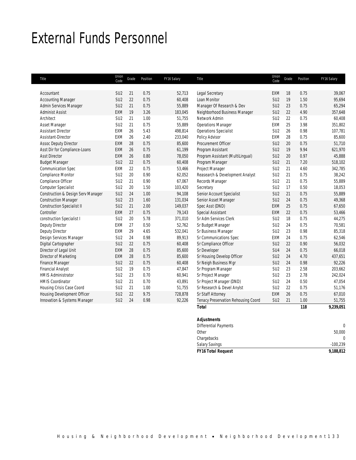# External Funds Personnel

| Title                              | Union<br>Code   | Grade | Position | FY16 Salary | Title                               | Union<br>Code   | Grade | Position | FY16 Salary |
|------------------------------------|-----------------|-------|----------|-------------|-------------------------------------|-----------------|-------|----------|-------------|
|                                    |                 |       |          |             |                                     |                 |       |          |             |
| Accountant                         | SU <sub>2</sub> | 21    | 0.75     | 52,713      | Legal Secretary                     | EXM             | 18    | 0.75     | 39,067      |
| <b>Accounting Manager</b>          | SU <sub>2</sub> | 22    | 0.75     | 60,408      | Loan Monitor                        | SU <sub>2</sub> | 19    | 1.50     | 95,694      |
| Admin Services Manager             | SU <sub>2</sub> | 21    | 0.75     | 55,889      | Manager Of Research & Dev           | SU <sub>2</sub> | 23    | 0.75     | 65,294      |
| <b>Administ Assist</b>             | <b>EXM</b>      | 19    | 3.26     | 183,045     | Neighborhood Business Manager       | SU <sub>2</sub> | 22    | 4.90     | 357,648     |
| Architect                          | SU <sub>2</sub> | 21    | 1.00     | 51,755      | Network Admin                       | SU <sub>2</sub> | 22    | 0.75     | 60,408      |
| Asset Manager                      | SU <sub>2</sub> | 21    | 0.75     | 55,889      | <b>Operations Manager</b>           | EXM             | 25    | 3.98     | 351,802     |
| <b>Assistant Director</b>          | EXM             | 26    | 5.43     | 498,814     | <b>Operations Specialist</b>        | SU <sub>2</sub> | 26    | 0.98     | 107,781     |
| Assistant-Director                 | EXM             | 26    | 2.40     | 233,040     | Policy Advisor                      | EXM             | 28    | 0.75     | 85,600      |
| <b>Assoc Deputy Director</b>       | <b>EXM</b>      | 28    | 0.75     | 85,600      | Procurement Officer                 | SU <sub>2</sub> | 20    | 0.75     | 51,710      |
| Asst Dir for Compliance-Loans      | <b>EXM</b>      | 26    | 0.75     | 61,199      | Program Assistant                   | SU <sub>2</sub> | 19    | 9.94     | 621,970     |
| <b>Asst Director</b>               | <b>EXM</b>      | 26    | 0.80     | 78,050      | Program Assistant (MultiLingual)    | SU <sub>2</sub> | 20    | 0.97     | 45,888      |
| <b>Budget Manager</b>              | SU <sub>2</sub> | 22    | 0.75     | 60,408      | Program Manager                     | SU <sub>2</sub> | 21    | 7.20     | 518,102     |
| <b>Communication Spec</b>          | EXM             | 22    | 0.75     | 53,466      | Project Manager                     | SU <sub>2</sub> | 21    | 4.60     | 342,785     |
| Compliance Monitor                 | SU <sub>2</sub> | 20    | 0.90     | 62,052      | Reasearch & Development Analyst     | SU <sub>2</sub> | 21    | 0.75     | 38,242      |
| Compliance Officer                 | SU <sub>2</sub> | 21    | 0.90     | 67,067      | Records Manager                     | SU <sub>2</sub> | 21    | 0.75     | 55,889      |
| Computer Specialist                | SU <sub>2</sub> | 20    | 1.50     | 103,420     | Secretary                           | SU <sub>2</sub> | 17    | 0.50     | 18,053      |
| Construction & Design Serv Manager | SU <sub>2</sub> | 24    | 1.00     | 94,108      | Senior Account Specialist           | SU <sub>2</sub> | 21    | 0.75     | 55,889      |
| <b>Construction Manager</b>        | SU <sub>2</sub> | 23    | 1.60     | 131,034     | Senior Asset Manager                | SU <sub>2</sub> | 24    | 0.75     | 49,368      |
| <b>Construction Specialist II</b>  | SU <sub>2</sub> | 21    | 2.00     | 149,037     | Spec Asst (DND)                     | EXM             | 25    | 0.75     | 67,650      |
| Controller                         | <b>EXM</b>      | 27    | 0.75     | 79,143      | Special Assistant                   | EXM             | 22    | 0.75     | 53,466      |
| construction Specialist I          | SU <sub>2</sub> | 20    | 5.78     | 371,010     | Sr Adm Services Clerk               | SU <sub>2</sub> | 18    | 0.75     | 44,275      |
| Deputy Director                    | <b>EXM</b>      | 27    | 0.50     | 52,762      | Sr Budget Manager                   | SU <sub>2</sub> | 24    | 0.75     | 70,581      |
| Deputy Director                    | <b>EXM</b>      | 29    | 4.65     | 532,041     | Sr Business Manager                 | SU <sub>2</sub> | 23    | 0.98     | 85,318      |
| Design Services Manager            | SU <sub>2</sub> | 24    | 0.98     | 89,913      | Sr Communications Spec              | EXM             | 24    | 0.75     | 62,546      |
| Digital Cartographer               | SU <sub>2</sub> | 22    | 0.75     | 60,408      | Sr Compliance Officer               | SU <sub>2</sub> | 22    | 0.90     | 56,032      |
| Director of Legal Unit             | <b>EXM</b>      | 28    | 0.75     | 85,600      | Sr Developer                        | SU <sub>4</sub> | 24    | 0.75     | 66,018      |
| Director of Marketing              | <b>EXM</b>      | 28    | 0.75     | 85,600      | Sr Housing Develop Officer          | SU <sub>2</sub> | 24    | 4.70     | 437,651     |
| Finance Manager                    | SU <sub>2</sub> | 22    | 0.75     | 60,408      | Sr Neigh Business Mgr               | SU <sub>2</sub> | 24    | 0.98     | 92,226      |
| <b>Financial Analyst</b>           | SU <sub>2</sub> | 19    | 0.75     | 47,847      | Sr Program Manager                  | SU <sub>2</sub> | 23    | 2.58     | 203,662     |
| <b>HMIS Administrator</b>          | SU <sub>2</sub> | 23    | 0.70     | 60,941      | Sr Project Manager                  | SU <sub>2</sub> | 23    | 2.78     | 242,024     |
| <b>HMIS Coordinator</b>            | SU <sub>2</sub> | 21    | 0.70     | 43,891      | Sr Project Manager (DND)            | SU <sub>2</sub> | 24    | 0.50     | 47,054      |
| Housing Crisis Case Coord          | SU <sub>2</sub> | 21    | 1.00     | 51,755      | Sr Research & Devel Anylst          | SU <sub>2</sub> | 22    | 0.75     | 51,176      |
| Housing Development Officer        | SU <sub>2</sub> | 22    | 9.75     | 728,878     | Sr Staff Attorney                   | EXM             | 26    | 0.75     | 67,010      |
| Innovation & Systems Manager       | SU <sub>2</sub> | 24    | 0.98     | 92,226      | Tenacy Preservation Rehousing Coord | SU <sub>2</sub> | 21    | 1.00     | 51,755      |
|                                    |                 |       |          |             | <b>Total</b>                        |                 |       | 118      | 9,239,051   |

# *Adjustments*

| <b>FY16 Total Request</b>    | 9,188,812  |
|------------------------------|------------|
| <b>Salary Savings</b>        | $-100.239$ |
| Chargebacks                  |            |
| Other                        | 50.000     |
| <b>Differential Payments</b> |            |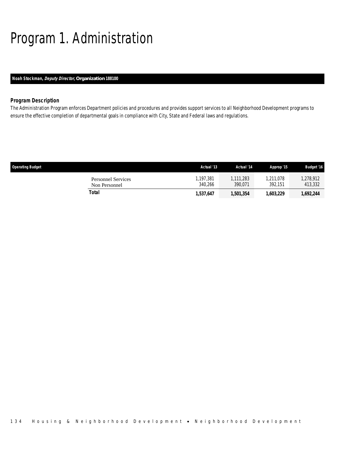# Program 1. Administration

### *Noah Stockman, Deputy Director, Organization 188100*

# *Program Description*

The Administration Program enforces Department policies and procedures and provides support services to all Neighborhood Development programs to ensure the effective completion of departmental goals in compliance with City, State and Federal laws and regulations.

| <b>Operating Budget</b>             | Actual '13          | Actual '14           | Approp '15          | <b>Budget '16</b>    |
|-------------------------------------|---------------------|----------------------|---------------------|----------------------|
| Personnel Services<br>Non Personnel | .197.381<br>340.266 | 1.111.283<br>390.071 | .211.078<br>392.151 | 1,278,912<br>413,332 |
| Total                               | 1,537,647           | 1,501,354            | 1,603,229           | ,692,244             |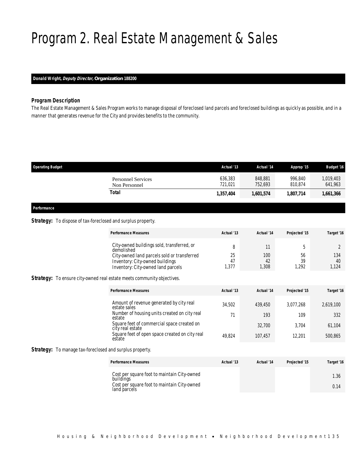# Program 2. Real Estate Management & Sales

# *Donald Wright, Deputy Director, Organization 188200*

# *Program Description*

The Real Estate Management & Sales Program works to manage disposal of foreclosed land parcels and foreclosed buildings as quickly as possible, and in a manner that generates revenue for the City and provides benefits to the community.

| <b>Operating Budget</b>                    | Actual '13         | Actual '14         | Approp '15         | <b>Budget '16</b>    |
|--------------------------------------------|--------------------|--------------------|--------------------|----------------------|
| <b>Personnel Services</b><br>Non Personnel | 636.383<br>721.021 | 848.881<br>752.693 | 996.840<br>810.874 | 1,019,403<br>641,963 |
| Total                                      | 1,357,404          | 1,601,574          | 1.807.714          | 1,661,366            |

*Performance* 

# Strategy: To dispose of tax-foreclosed and surplus property.

| <b>Performance Measures</b>                              | Actual '13 | Actual '14 | Projected '15 | Target '16 |
|----------------------------------------------------------|------------|------------|---------------|------------|
| City-owned buildings sold, transferred, or<br>demolished |            |            |               |            |
| City-owned land parcels sold or transferred              | 25         | 100        | 56            | 134        |
| Inventory: City-owned buildings                          | 47         | 42         | 39            | 40         |
| Inventory: City-owned land parcels                       | .377       | ,308       | .292          | 1.124      |

**Strategy:** To ensure city-owned real estate meets community objectives.

| <b>Performance Measures</b>                                    | Actual '13 | Actual '14 | Projected '15 | Target '16 |
|----------------------------------------------------------------|------------|------------|---------------|------------|
| Amount of revenue generated by city real<br>estate sales       | 34,502     | 439,450    | 3.077.268     | 2,619,100  |
| Number of housing units created on city real<br>estate         |            | 193        | 109           | 332        |
| Square feet of commercial space created on<br>city real estate |            | 32.700     | 3.704         | 61,104     |
| Square feet of open space created on city real<br>estate       | 49.824     | 107.457    | 12,201        | 500,865    |

**Strategy:** To manage tax-foreclosed and surplus property.

| <b>Performance Measures</b>                                                                                             | Actual '13 | Actual '14 | Projected '15 | Target '16   |
|-------------------------------------------------------------------------------------------------------------------------|------------|------------|---------------|--------------|
| Cost per square foot to maintain City-owned<br>buildings<br>Cost per square foot to maintain City-owned<br>land parcels |            |            |               | 1.36<br>0.14 |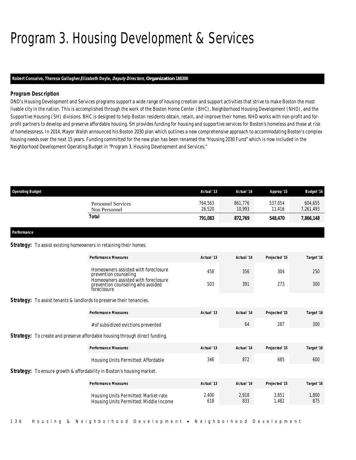# Program 3. Housing Development & Services

# *Robert Consalvo, Theresa Gallagher,Elizabeth Doyle, Deputy Directors, Organization 188300*

# *Program Description*

DND's Housing Development and Services programs support a wide range of housing creation and support activities that strive to make Boston the most livable city in the nation. This is accomplished through the work of the Boston Home Center (BHC), Neighborhood Housing Development (NHD), and the Supportive Housing (SH) divisions. BHC is designed to help Boston residents obtain, retain, and improve their homes. NHD works with non-profit and forprofit partners to develop and preserve affordable housing. SH provides funding for housing and supportive services for Boston's homeless and those at risk of homelessness. In 2014, Mayor Walsh announced his Boston 2030 plan which outlines a new comprehensive approach to accommodating Boston's complex housing needs over the next 15 years. Funding committed for the new plan has been renamed the "Housing 2030 Fund" which is now included in the Neighborhood Development Operating Budget in "Program 3. Housing Development and Services."

| <b>Operating Budget</b> |                                                                                | Actual '13        | Actual '14        | Approp '15        | <b>Budget '16</b>    |
|-------------------------|--------------------------------------------------------------------------------|-------------------|-------------------|-------------------|----------------------|
|                         | <b>Personnel Services</b><br>Non Personnel                                     | 764,563<br>26.520 | 861,776<br>10,993 | 537,054<br>11,416 | 604,655<br>7,261,493 |
|                         | <b>Total</b>                                                                   | 791,083           | 872,769           | 548,470           | 7,866,148            |
| Performance             |                                                                                |                   |                   |                   |                      |
|                         | <b>Strategy:</b> To assist existing homeowners in retaining their homes.       |                   |                   |                   |                      |
|                         | <b>Performance Measures</b>                                                    | Actual '13        | Actual '14        | Projected '15     | Target '16           |
|                         | Homeowners assisted with foreclosure<br>prevention counseling                  | 458               | 356               | 304               | 250                  |
|                         | Homeowners assisted with foreclosure<br>prevention counseling who avoided      | 503               | 391               | 273               | 300                  |
|                         | <b>Strategy:</b> To assist tenants & landlords to preserve their tenancies.    |                   |                   |                   |                      |
|                         | <b>Performance Measures</b>                                                    | Actual '13        | Actual '14        | Projected '15     | Target '16           |
|                         | # of subsidized evictions prevented                                            |                   | 64                | 287               | 300                  |
|                         | Strategy: To create and preserve affordable housing through direct funding.    |                   |                   |                   |                      |
|                         | <b>Performance Measures</b>                                                    | Actual '13        | Actual '14        | Projected '15     | Target '16           |
|                         | Housing Units Permitted: Affordable                                            | 346               | 872               | 685               | 600                  |
|                         | <b>Strategy:</b> To ensure growth & affordability in Boston's housing market.  |                   |                   |                   |                      |
|                         | <b>Performance Measures</b>                                                    | Actual '13        | Actual '14        | Projected '15     | Target '16           |
|                         | Housing Units Permitted: Market-rate<br>Housing Units Permitted: Middle Income | 2.400<br>618      | 2.918<br>833      | 3.851<br>1.482    | 1.800<br>875         |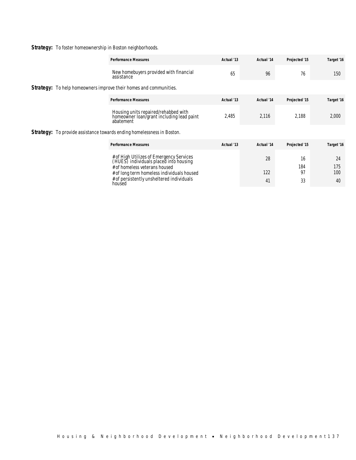Strategy: To foster homeownership in Boston neighborhoods.

|                                                                               | <b>Performance Measures</b>                                                                                                                                                                                              | Actual '13 | Actual '14      | Projected '15         | Target '16             |
|-------------------------------------------------------------------------------|--------------------------------------------------------------------------------------------------------------------------------------------------------------------------------------------------------------------------|------------|-----------------|-----------------------|------------------------|
|                                                                               | New homebuyers provided with financial<br>assistance                                                                                                                                                                     | 65         | 96              | 76                    | 150                    |
| <b>Strategy:</b> To help homeowners improve their homes and communities.      |                                                                                                                                                                                                                          |            |                 |                       |                        |
|                                                                               | <b>Performance Measures</b>                                                                                                                                                                                              | Actual '13 | Actual '14      | Projected '15         | Target '16             |
|                                                                               | Housing units repaired/rehabbed with<br>homeowner loan/grant including lead paint<br>abatement                                                                                                                           | 2,485      | 2,116           | 2,188                 | 2,000                  |
| <b>Strategy:</b> To provide assistance towards ending homelessness in Boston. |                                                                                                                                                                                                                          |            |                 |                       |                        |
|                                                                               | <b>Performance Measures</b>                                                                                                                                                                                              | Actual '13 | Actual '14      | Projected '15         | Target '16             |
|                                                                               | # of High Utilizes of Emergency Services<br>(HUES) individuals placed into housing<br># of homeless veterans housed<br># of long term homeless individuals housed<br># of persistently unsheltered individuals<br>housed |            | 28<br>122<br>41 | 16<br>184<br>97<br>33 | 24<br>175<br>100<br>40 |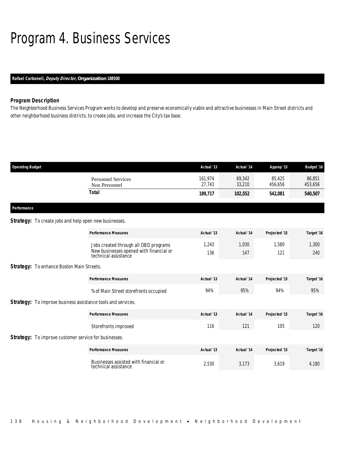# Program 4. Business Services

# *Rafael Carbonell, Deputy Director, Organization 188500*

# *Program Description*

The Neighborhood Business Services Program works to develop and preserve economically viable and attractive businesses in Main Street districts and other neighborhood business districts, to create jobs, and increase the City's tax base.

| <b>Operating Budget</b>                                             |                                                                                                          | Actual '13        | Actual '14       | Approp '15        | <b>Budget '16</b> |
|---------------------------------------------------------------------|----------------------------------------------------------------------------------------------------------|-------------------|------------------|-------------------|-------------------|
|                                                                     | <b>Personnel Services</b><br>Non Personnel                                                               | 161,974<br>27,743 | 69,342<br>33,210 | 85,425<br>456,656 | 86,851<br>453,656 |
|                                                                     | <b>Total</b>                                                                                             | 189,717           | 102,552          | 542,081           | 540,507           |
| Performance                                                         |                                                                                                          |                   |                  |                   |                   |
| Strategy: To create jobs and help open new businesses.              |                                                                                                          |                   |                  |                   |                   |
|                                                                     | <b>Performance Measures</b>                                                                              | Actual '13        | Actual '14       | Projected '15     | Target '16        |
|                                                                     | Jobs created through all OBD programs<br>New businesses opened with financial or<br>technical assistance | 1,243<br>136      | 1,030<br>147     | 1,580<br>121      | 1,300<br>240      |
| <b>Strategy:</b> To enhance Boston Main Streets.                    |                                                                                                          |                   |                  |                   |                   |
|                                                                     | <b>Performance Measures</b>                                                                              | Actual '13        | Actual '14       | Projected '15     | Target '16        |
|                                                                     | % of Main Street storefronts occupied                                                                    | 94%               | 95%              | 94%               | 95%               |
| <b>Strategy:</b> To improve business assistance tools and services. |                                                                                                          |                   |                  |                   |                   |
|                                                                     | <b>Performance Measures</b>                                                                              | Actual '13        | Actual '14       | Projected '15     | Target '16        |
|                                                                     | Storefronts improved                                                                                     | 116               | 121              | 105               | 120               |
| <b>Strategy:</b> To improve customer service for businesses.        |                                                                                                          |                   |                  |                   |                   |
|                                                                     | <b>Performance Measures</b>                                                                              | Actual '13        | Actual '14       | Projected '15     | Target '16        |
|                                                                     | Businesses assisted with financial or<br>technical assistance                                            | 2,530             | 3,173            | 3,619             | 4,180             |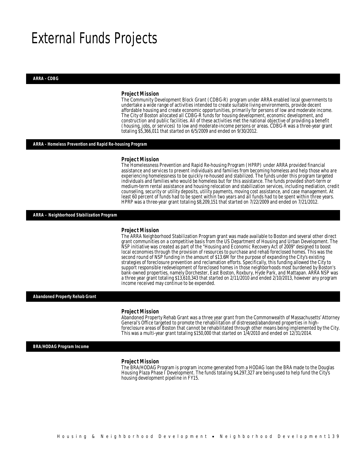# External Funds Projects

*ARRA - CDBG* 

#### *Project Mission*

The Community Development Block Grant (CDBG-R) program under ARRA enabled local governments to undertake a wide range of activities intended to create suitable living environments, provide decent affordable housing and create economic opportunities, primarily for persons of low and moderate income. The City of Boston allocated all CDBG-R funds for housing development, economic development, and construction and public facilities. All of these activities met the national objective of providing a benefit (housing, jobs, or services) to low and moderate-income persons or areas. CDBG-R was a three-year grant totaling \$5,366,011 that started on 6/5/2009 and ended on 9/30/2012.

### *ARRA - Homeless Prevention and Rapid Re-housing Program*

#### *Project Mission*

The Homelessness Prevention and Rapid Re-housing Program (HPRP) under ARRA provided financial assistance and services to prevent individuals and families from becoming homeless and help those who are experiencing homelessness to be quickly re-housed and stabilized. The funds under this program targeted individuals and families who would be homeless but for this assistance. The funds provided short-term or medium-term rental assistance and housing relocation and stabilization services, including mediation, credit counseling, security or utility deposits, utility payments, moving cost assistance, and case management. At least 60 percent of funds had to be spent within two years and all funds had to be spent within three years. HPRP was a three-year grant totaling \$8,209,151 that started on 7/22/2009 and ended on 7/21/2012.

*ARRA – Neighborhood Stabilization Program* 

#### *Project Mission*

The ARRA Neighborhood Stabilization Program grant was made available to Boston and several other direct grant communities on a competitive basis from the US Department of Housing and Urban Development. The NSP initiative was created as part of the "Housing and Economic Recovery Act of 2009" designed to boost local economies through the provision of resources to purchase and rehab foreclosed homes. This was the second round of NSP funding in the amount of \$13.6M for the purpose of expanding the City's existing strategies of foreclosure prevention and reclamation efforts. Specifically, this funding allowed the City to support responsible redevelopment of foreclosed homes in those neighborhoods most burdened by Boston's bank-owned properties, namely Dorchester, East Boston, Roxbury, Hyde Park, and Mattapan. ARRA NSP was a three year grant totaling \$13,610,343 that started on 2/11/2010 and ended 2/10/2013, however any program income received may continue to be expended.

# *Abandoned Property Rehab Grant*

#### *Project Mission*

Abandoned Property Rehab Grant was a three year grant from the Commonwealth of Massachusetts' Attorney General's Office targeted to promote the rehabilitation of distressed/abandoned properties in highforeclosure areas of Boston that cannot be rehabilitated through other means being implemented by the City. This was a multi-year grant totaling \$150,000 that started on 1/4/2010 and ended on 12/31/2014.

*BRA/HODAG Program Income* 

#### *Project Mission*

The BRA/HODAG Program is program income generated from a HODAG loan the BRA made to the Douglas Housing Plaza Phase I Development. The funds totaling \$4,297,327 are being used to help fund the City's housing development pipeline in FY15.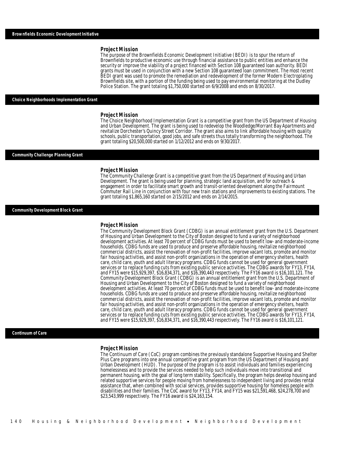The purpose of the Brownfields Economic Development Initiative (BEDI) is to spur the return of Brownfields to productive economic use through financial assistance to public entities and enhance the security or improve the viability of a project financed with Section 108 guaranteed loan authority. BEDI grants must be used in conjunction with a new Section 108 guaranteed loan commitment. The most recent BEDI grant was used to promote the remediation and redevelopment of the former Modern Electroplating Brownfields site, with a portion of the funding being used to pay environmental monitoring at the Dudley Police Station. The grant totaling \$1,750,000 started on 6/9/2008 and ends on 8/30/2017.

#### *Choice Neighborhoods Implementation Grant*

### *Project Mission*

The Choice Neighborhood Implementation Grant is a competitive grant from the US Department of Housing and Urban Development. The grant is being used to redevelop the Woodledge/Morrant Bay Apartments and revitalize Dorchester's Quincy Street Corridor. The grant also aims to link affordable housing with quality schools, public transportation, good jobs, and safe streets thus totally transforming the neighborhood. The grant totaling \$20,500,000 started on 1/12/2012 and ends on 9/30/2017.

#### *Community Challenge Planning Grant*

#### *Project Mission*

The Community Challenge Grant is a competitive grant from the US Department of Housing and Urban Development. The grant is being used for planning, strategic land acquisition, and for outreach & engagement in order to facilitate smart growth and transit-oriented development along the Fairmount Commuter Rail Line in conjunction with four new train stations and improvements to existing stations. The grant totaling \$1,865,160 started on 2/15/2012 and ends on 2/14/2015.

*Community Development Block Grant* 

#### *Project Mission*

Ì

The Community Development Block Grant (CDBG) is an annual entitlement grant from the U.S. Department of Housing and Urban Development to the City of Boston designed to fund a variety of neighborhood development activities. At least 70 percent of CDBG funds must be used to benefit low- and moderate-income households. CDBG funds are used to produce and preserve affordable housing, revitalize neighborhood commercial districts, assist the renovation of non-profit facilities, improve vacant lots, promote and monitor fair housing activities, and assist non-profit organizations in the operation of emergency shelters, health care, child care, youth and adult literacy programs. CDBG funds cannot be used for general government services or to replace funding cuts from existing public service activities. The CDBG awards for FY13, FY14, and FY15 were \$15,929,397, \$16,834,371, and \$16,390,443 respectively. The FY16 award is \$16,101,121. The Community Development Block Grant (CDBG) is an annual entitlement grant from the U.S. Department of Housing and Urban Development to the City of Boston designed to fund a variety of neighborhood development activities. At least 70 percent of CDBG funds must be used to benefit low- and moderate-income households. CDBG funds are used to produce and preserve affordable housing, revitalize neighborhood commercial districts, assist the renovation of non-profit facilities, improve vacant lots, promote and monitor fair housing activities, and assist non-profit organizations in the operation of emergency shelters, health care, child care, youth and adult literacy programs. CDBG funds cannot be used for general government services or to replace funding cuts from existing public service activities. The CDBG awards for FY13, FY14, and FY15 were \$15,929,397, \$16,834,371, and \$16,390,443 respectively. The FY16 award is \$16,101,121.

#### *Continuum of Care*

#### *Project Mission*

The Continuum of Care (CoC) program combines the previously standalone Supportive Housing and Shelter Plus Care programs into one annual competitive grant program from the US Department of Housing and Urban Development (HUD). The purpose of the program is to assist individuals and families experiencing homelessness and to provide the services needed to help such individuals move into transitional and permanent housing, with the goal of long term stability. Specifically, the program helps develop housing and related supportive services for people moving from homelessness to independent living and provides rental assistance that, when combined with social services, provides supportive housing for homeless people with disabilities and their families. The CoC award for FY13, FY14, and FY15 was \$21,591,468, \$24,278,700 and \$23,543,999 respectively. The FY16 award is \$24,163,154.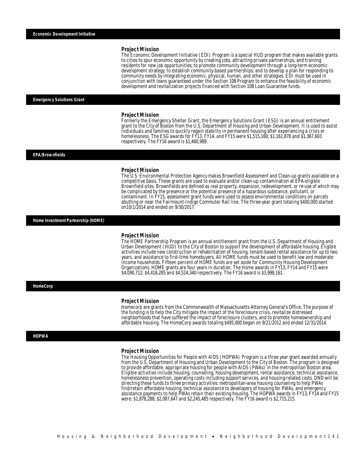The Economic Development Initiative (EDI) Program is a special HUD program that makes available grants to cities to spur economic opportunity by creating jobs, attracting private partnerships, and training residents for new job opportunities; to promote community development through a long-term economic development strategy; to establish community-based partnerships; and to develop a plan for responding to community needs by integrating economic, physical, human, and other strategies. EDI must be used in conjunction with loans guaranteed under the Section 108 Program to enhance the feasibility of economic development and revitalization projects financed with Section 108 Loan Guarantee funds.

#### *Emergency Solutions Grant*

#### *Project Mission*

Formerly the Emergency Shelter Grant, the Emergency Solutions Grant (ESG) is an annual entitlement grant to the City of Boston from the U.S. Department of Housing and Urban Development. It is used to assist individuals and families to quickly regain stability in permanent housing after experiencing a crisis or homelessness. The ESG awards for FY13, FY14, and FY15 were \$1,515,160; \$1,161,878 and \$1,367,603 respectively. The FY16 award is \$1,460,989.

*EPA/Brownfields* 

#### *Project Mission*

The U.S. Environmental Protection Agency makes Brownfield Assessment and Clean-up grants available on a competitive basis. These grants are used to evaluate and/or clean-up contamination at EPA-eligible Brownfield sites. Brownfields are defined as real property, expansion, redevelopment, or re-use of which may be complicated by the presence or the potential presence of a hazardous substance, pollutant, or contaminant. In FY15, assessment grant funds were used to assess environmental conditions on parcels abutting or near the Fairmount-Indigo Commuter Rail line. The three-year grant totaling \$400,000 started on10/1/2014 and ended on 9/30/2017.

#### *Home Investment Partnership (HOME)*

### *Project Mission*

The HOME Partnership Program is an annual entitlement grant from the U.S. Department of Housing and Urban Development (HUD) to the City of Boston to support the development of affordable housing. Eligible activities include new construction or rehabilitation of housing, tenant-based rental assistance for up to two years, and assistance to first-time homebuyers. All HOME funds must be used to benefit low and moderate income households. Fifteen percent of HOME funds are set aside for Community Housing Development Organizations. HOME grants are four years in duration. The Home awards in FY13, FY14 and FY15 were \$4,090,712; \$4,418,285 and \$4,524,340 respectively. The FY16 award is \$3,998,161.

### *HomeCorp*

#### *Project Mission*

Homecorp are grants from the Commonwealth of Massachusetts Attorney General's Office. The purpose of the funding is to help the City mitigate the impact of the foreclosure crisis, revitalize distressed neighborhoods that have suffered the impact of foreclosure clusters, and to promote homeownership and affordable housing. The HomeCorp awards totaling \$495,000 began on 9/21/2012 and ended 12/31/2014.

### *HOPWA*

#### *Project Mission*

The Housing Opportunities for People with AIDS (HOPWA) Program is a three year grant awarded annually from the U.S. Department of Housing and Urban Development to the City of Boston. The program is designed to provide affordable, appropriate housing for people with AIDS (PWAs) in the metropolitan Boston area. Eligible activities include housing, counseling, housing development, rental assistance, technical assistance, homelessness prevention, operating costs including support services, and housing-related costs. DND will be directing these funds to three primary activities: metropolitan-area housing counseling to help PWAs find/retain affordable housing, technical assistance to developers of housing for PWAs, and emergency assistance payments to help PWAs retain their existing housing. The HOPWA awards in FY13, FY14 and FY15<br>were; \$1,878,288; \$2,087,647 and \$2,245,485 respectively. The FY16 award is \$2,715,215.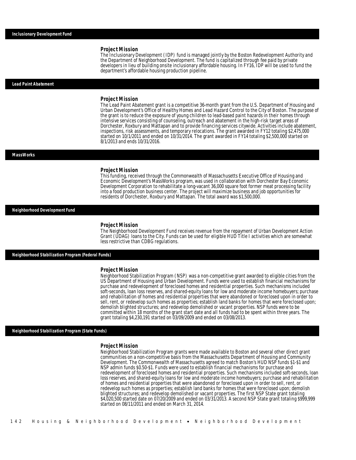The Inclusionary Development (IDP) fund is managed jointly by the Boston Redevelopment Authority and the Department of Neighborhood Development. The fund is capitalized through fee paid by private developers in lieu of building onsite inclusionary affordable housing. In FY16, IDP will be used to fund the department's affordable housing production pipeline.

#### *Lead Paint Abatement*

#### *Project Mission*

The Lead Paint Abatement grant is a competitive 36-month grant from the U.S. Department of Housing and Urban Development's Office of Healthy Homes and Lead Hazard Control to the City of Boston. The purpose of the grant is to reduce the exposure of young children to lead-based paint hazards in their homes through intensive services consisting of counseling, outreach and abatement in the high-risk target areas of Dorchester, Roxbury and Mattapan and to provide financing services citywide. Activities include abatement, inspections, risk assessments, and temporary relocations. The grant awarded in FY12 totaling \$2,475,000 started on 10/1/2011 and ended on 10/31/2014. The grant awarded in FY14 totaling \$2,500,000 started on 8/1/2013 and ends 10/31/2016.

#### *MassWorks*

#### *Project Mission*

This funding, received through the Commonwealth of Massachusetts Executive Office of Housing and Economic Development's MassWorks program, was used in collaboration with Dorchester Bay Economic Development Corporation to rehabilitate a long-vacant 36,000 square foot former meat processing facility into a food production business center. The project will maximize business and job opportunities for residents of Dorchester, Roxbury and Mattapan. The total award was \$1,500,000.

### *Neighborhood Development Fund*

#### *Project Mission*

The Neighborhood Development Fund receives revenue from the repayment of Urban Development Action Grant (UDAG) loans to the City. Funds can be used for eligible HUD Title I activities which are somewhat less restrictive than CDBG regulations.

### *Neighborhood Stabilization Program (Federal Funds)*

#### *Project Mission*

Neighborhood Stabilization Program (NSP) was a non-competitive grant awarded to eligible cities from the US Department of Housing and Urban Development. Funds were used to establish financial mechanisms for purchase and redevelopment of foreclosed homes and residential properties. Such mechanisms included soft-seconds, loan loss reserves, and shared-equity loans for low and moderate income homebuyers; purchase and rehabilitation of homes and residential properties that were abandoned or foreclosed upon in order to sell, rent, or redevelop such homes as properties; establish land banks for homes that were foreclosed upon; demolish blighted structures; and redevelop demolished or vacant properties. NSP funds were to be committed within 18 months of the grant start date and all funds had to be spent within three years. The grant totaling \$4,230,191 started on 03/09/2009 and ended on 03/08/2013.

#### *Neighborhood Stabilization Program (State Funds)*

#### *Project Mission*

Neighborhood Stabilization Program grants were made available to Boston and several other direct grant communities on a non-competitive basis from the Massachusetts Department of Housing and Community Development. The Commonwealth of Massachusetts agreed to match Boston's HUD NSP funds \$1-\$1 and NSP admin funds \$0.50-\$1. Funds were used to establish financial mechanisms for purchase and redevelopment of foreclosed homes and residential properties. Such mechanisms included soft-seconds, loan loss reserves, and shared-equity loans for low and moderate income homebuyers; purchase and rehabilitation of homes and residential properties that were abandoned or foreclosed upon in order to sell, rent, or redevelop such homes as properties; establish land banks for homes that were foreclosed upon; demolish blighted structures; and redevelop demolished or vacant properties. The first NSP State grant totaling \$4,020,500 started date on 07/20/2009 and ended on 03/31/2013. A second NSP State grant totaling \$999,999 started on 08/11/2011 and ended on March 31, 2014.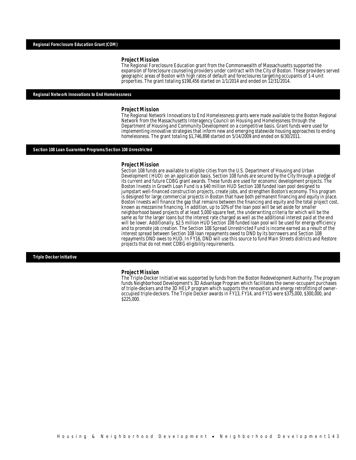The Regional Foreclosure Education grant from the Commonwealth of Massachusetts supported the expansion of foreclosure counseling providers under contract with the City of Boston. These providers served geographic areas of Boston with high rates of default and foreclosures targeting occupants of 1-4 unit properties. The grant totaling \$198,456 started on 1/1/2014 and ended on 12/31/2014. Î

#### *Regional Network Innovations to End Homelessness*

#### *Project Mission*

The Regional Network Innovations to End Homelessness grants were made available to the Boston Regional Network from the Massachusetts Interagency Council on Housing and Homelessness through the Department of Housing and Community Development on a competitive basis. Grant funds were used for implementing innovative strategies that inform new and emerging statewide housing approaches to ending homelessness. The grant totaling \$1,746,898 started on 5/14/2009 and ended on 6/30/2011.

### *Section 108 Loan Guarantee Programs/Section 108 Unrestricted*

#### *Project Mission*

Section 108 funds are available to eligible cities from the U.S. Department of Housing and Urban Development (HUD) on an application basis. Section 108 funds are secured by the City through a pledge of its current and future CDBG grant awards. These funds are used for economic development projects. The Boston Invests in Growth Loan Fund is a \$40 million HUD Section 108 funded loan pool designed to jumpstart well-financed construction projects, create jobs, and strengthen Boston's economy. This program is designed for large commercial projects in Boston that have both permanent financing and equity in place. Boston Invests will finance the gap that remains between the financing and equity and the total project cost, known as mezzanine financing. In addition, up to 10% of the loan pool will be set aside for smaller neighborhood based projects of at least 5,000 square feet, the underwriting criteria for which will be the same as for the larger loans but the interest rate charged as well as the additional interest paid at the end will be lower. Additionally, \$2.5 million HUD Section 108 funded loan pool will be used for energy efficiency and to promote job creation. The Section 108 Spread Unrestricted Fund is income earned as a result of the interest spread between Section 108 loan repayments owed to DND by its borrowers and Section 108 repayments DND owes to HUD. In FY16, DND will use this source to fund Main Streets districts and Restore projects that do not meet CDBG eligibility requirements. Î

*Triple Decker Initiative* 

#### *Project Mission*

The Triple-Decker Initiative was supported by funds from the Boston Redevelopment Authority. The program funds Neighborhood Development's 3D Advantage Program which facilitates the owner-occupant purchases of triple-deckers and the 3D HELP program which supports the renovation and energy retrofitting of owneroccupied triple-deckers. The Triple Decker awards in FY13, FY14, and FY15 were \$375,000, \$300,000, and \$225,000.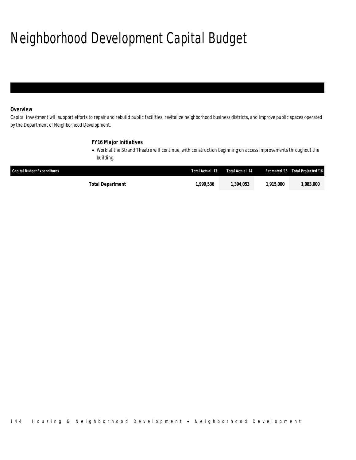# Neighborhood Development Capital Budget

# *Overview*

Capital investment will support efforts to repair and rebuild public facilities, revitalize neighborhood business districts, and improve public spaces operated by the Department of Neighborhood Development.

# *FY16 Major Initiatives*

• Work at the Strand Theatre will continue, with construction beginning on access improvements throughout the building.

| <b>Capital Budget Expenditures</b> | Total Actual '13 | Total Actual '14 |          | <b>Estimated '15 Total Projected '16</b> |
|------------------------------------|------------------|------------------|----------|------------------------------------------|
| Total Department                   | .999.536         | 1,394,053        | .915.000 | .083.000                                 |